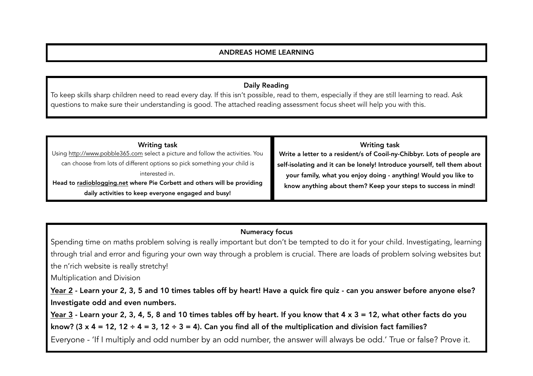## ANDREAS HOME LEARNING

## Daily Reading

To keep skills sharp children need to read every day. If this isn't possible, read to them, especially if they are still learning to read. Ask questions to make sure their understanding is good. The attached reading assessment focus sheet will help you with this.

| <b>Writing task</b>                                                            | <b>Writing task</b>                                                      |
|--------------------------------------------------------------------------------|--------------------------------------------------------------------------|
| Using http://www.pobble365.com select a picture and follow the activities. You | Write a letter to a resident/s of Cooil-ny-Chibbyr. Lots of people are   |
| can choose from lots of different options so pick something your child is      | self-isolating and it can be lonely! Introduce yourself, tell them about |
| interested in.                                                                 | your family, what you enjoy doing - anything! Would you like to          |
| Head to radioblogging.net where Pie Corbett and others will be providing       | know anything about them? Keep your steps to success in mind!            |
| daily activities to keep everyone engaged and busy!                            |                                                                          |

## Numeracy focus

Spending time on maths problem solving is really important but don't be tempted to do it for your child. Investigating, learning through trial and error and figuring your own way through a problem is crucial. There are loads of problem solving websites but the n'rich website is really stretchy!

Multiplication and Division

Year 2 - Learn your 2, 3, 5 and 10 times tables off by heart! Have a quick fire quiz - can you answer before anyone else? Investigate odd and even numbers.

Year 3 - Learn your 2, 3, 4, 5, 8 and 10 times tables off by heart. If you know that  $4 \times 3 = 12$ , what other facts do you know? (3 x 4 = 12, 12  $\div$  4 = 3, 12  $\div$  3 = 4). Can you find all of the multiplication and division fact families? Everyone - 'If I multiply and odd number by an odd number, the answer will always be odd.' True or false? Prove it.